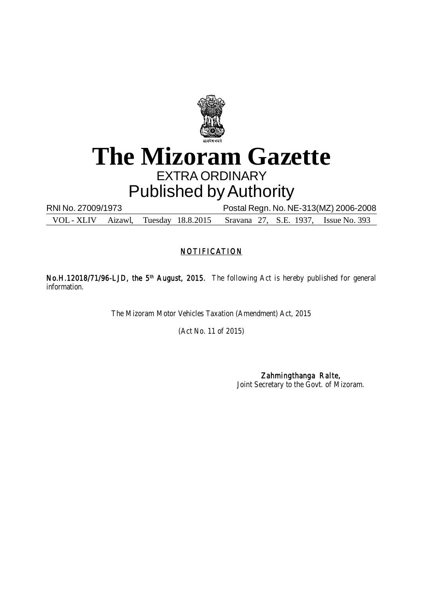

### **The Mizoram Gazette** EXTRA ORDINARY Published by Authority

RNI No. 27009/1973 Postal Regn. No. NE-313(MZ) 2006-2008 VOL - XLIV Aizawl, Tuesday 18.8.2015 Sravana 27, S.E. 1937, Issue No. 393

### **NOTIFICATION**

No.H.12018/71/96-LJD, the 5<sup>th</sup> August, 2015. The following Act is hereby published for general information.

The Mizoram Motor Vehicles Taxation (Amendment) Act, 2015

(Act No. 11 of 2015)

Zahmingthanga Ralte, Joint Secretary to the Govt. of Mizoram.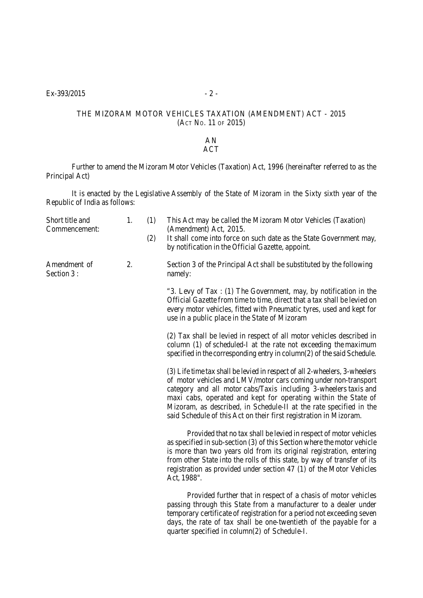#### THE MIZORAM MOTOR VEHICLES TAXATION (AMENDMENT) ACT - 2015 (ACT NO. 11 OF 2015)

#### AN ACT

Further to amend the Mizoram Motor Vehicles (Taxation) Act, 1996 (hereinafter referred to as the Principal Act)

It is enacted by the Legislative Assembly of the State of Mizoram in the Sixty sixth year of the Republic of India as follows:

| Short title and<br>Commencement: | 1. | (1)<br>(2) | This Act may be called the Mizoram Motor Vehicles (Taxation)<br>(Amendment) Act, 2015.<br>It shall come into force on such date as the State Government may,<br>by notification in the Official Gazette, appoint.                                                                                                                                                                                                              |
|----------------------------------|----|------------|--------------------------------------------------------------------------------------------------------------------------------------------------------------------------------------------------------------------------------------------------------------------------------------------------------------------------------------------------------------------------------------------------------------------------------|
| Amendment of<br>Section 3:       | 2. |            | Section 3 of the Principal Act shall be substituted by the following<br>namely:                                                                                                                                                                                                                                                                                                                                                |
|                                  |    |            | "3. Levy of Tax: (1) The Government, may, by notification in the<br>Official Gazette from time to time, direct that a tax shall be levied on<br>every motor vehicles, fitted with Pneumatic tyres, used and kept for<br>use in a public place in the State of Mizoram                                                                                                                                                          |
|                                  |    |            | (2) Tax shall be levied in respect of all motor vehicles described in<br>column (1) of scheduled-I at the rate not exceeding the maximum<br>specified in the corresponding entry in column(2) of the said Schedule.                                                                                                                                                                                                            |
|                                  |    |            | (3) Life time tax shall be levied in respect of all 2-wheelers, 3-wheelers<br>of motor vehicles and LMV/motor cars coming under non-transport<br>category and all motor cabs/Taxis including 3-wheelers taxis and<br>maxi cabs, operated and kept for operating within the State of<br>Mizoram, as described, in Schedule-II at the rate specified in the<br>said Schedule of this Act on their first registration in Mizoram. |
|                                  |    |            | Provided that no tax shall be levied in respect of motor vehicles<br>as specified in sub-section (3) of this Section where the motor vehicle<br>is more than two years old from its original registration, entering<br>from other State into the rolls of this state, by way of transfer of its<br>registration as provided under section 47 (1) of the Motor Vehicles<br>Act, 1988".                                          |
|                                  |    |            | Provided further that in respect of a chasis of motor vehicles<br>passing through this State from a manufacturer to a dealer under<br>temporary certificate of registration for a period not exceeding seven<br>days, the rate of tax shall be one-twentieth of the payable for a<br>quarter specified in column(2) of Schedule-I.                                                                                             |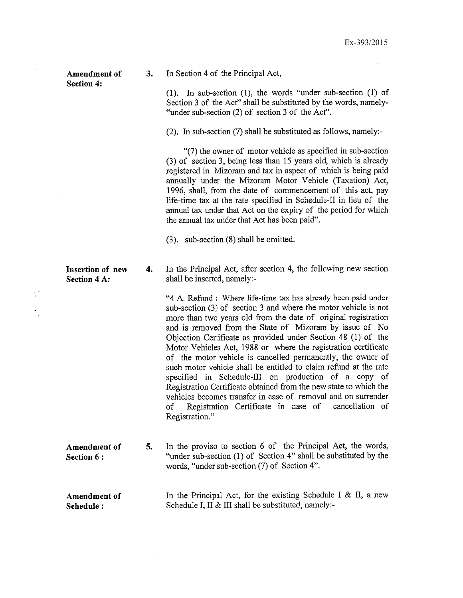Amendment of **Section 4:** 

3.

In Section 4 of the Principal Act,

 $(1)$ . In sub-section  $(1)$ , the words "under sub-section  $(1)$  of Section 3 of the Act" shall be substituted by the words, namely-"under sub-section (2) of section 3 of the Act".

(2). In sub-section (7) shall be substituted as follows, namely:-

"(7) the owner of motor vehicle as specified in sub-section (3) of section 3, being less than 15 years old, which is already registered in Mizoram and tax in aspect of which is being paid annually under the Mizoram Motor Vehicle (Taxation) Act, 1996, shall, from the date of commencement of this act, pay life-time tax at the rate specified in Schedule-II in lieu of the annual tax under that Act on the expiry of the period for which the annual tax under that Act has been paid".

 $(3)$ . sub-section  $(8)$  shall be omitted.

 $\overline{4}$ . In the Principal Act, after section 4, the following new section shall be inserted, namely:-

> "4 A. Refund : Where life-time tax has already been paid under sub-section (3) of section 3 and where the motor vehicle is not more than two years old from the date of original registration and is removed from the State of Mizoram by issue of No Objection Certificate as provided under Section 48 (1) of the Motor Vehicles Act, 1988 or where the registration certificate of the motor vehicle is cancelled permanently, the owner of such motor vehicle shall be entitled to claim refund at the rate specified in Schedule-III on production of a copy of Registration Certificate obtained from the new state to which the vehicles becomes transfer in case of removal and on surrender Registration Certificate in case of cancellation of  $of$ Registration."

In the proviso to section 6 of the Principal Act, the words, 5. "under sub-section (1) of Section 4" shall be substituted by the words, "under sub-section (7) of Section 4".

In the Principal Act, for the existing Schedule I & II, a new Schedule I, II & III shall be substituted, namely:-

**Insertion of new Section 4 A:** 

t,

Amendment of Section 6:

Amendment of Schedule: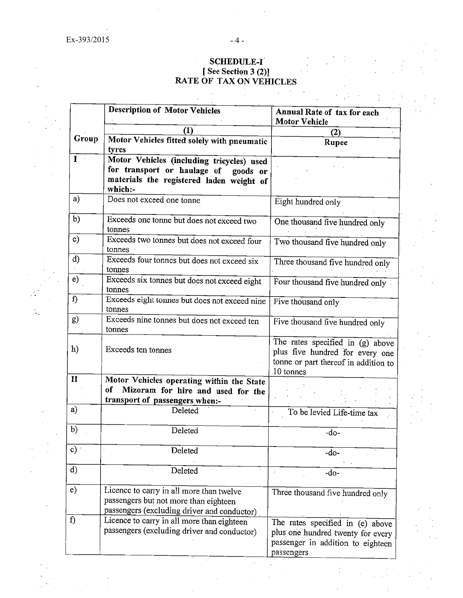## SCHEDULE-I<br>
[See Section 3 (2)]<br>
RATE OF TAX ON VEHICLES

 $\mathcal{L}_{\text{in}}$ 

 $\mathcal{L}^{\mathcal{A}}$  $\sim 100$ 

|               | <b>Description of Motor Vehicles</b>                                                                                                     | Annual Rate of tax for each<br><b>Motor Vehicle</b>                                                                        |
|---------------|------------------------------------------------------------------------------------------------------------------------------------------|----------------------------------------------------------------------------------------------------------------------------|
|               | П.                                                                                                                                       | (2)                                                                                                                        |
| Group         | Motor Vehicles fitted solely with pneumatic<br>tyres                                                                                     | Rupee                                                                                                                      |
| $\mathbf{I}$  | Motor Vehicles (including tricycles) used<br>for transport or haulage of goods or<br>materials the registered laden weight of<br>which:- |                                                                                                                            |
| a)            | Does not exceed one tonne                                                                                                                | Eight hundred only                                                                                                         |
| b)            | Exceeds one tonne but does not exceed two<br>tonnes                                                                                      | One thousand five hundred only                                                                                             |
| $\mathbf{c})$ | Exceeds two tonnes but does not exceed four<br>tonnes                                                                                    | Two thousand five hundred only                                                                                             |
| $\rm d$       | Exceeds four tonnes but does not exceed six<br>tonnes                                                                                    | Three thousand five hundred only                                                                                           |
| e)            | Exceeds six tonnes but does not exceed eight<br>tonnes                                                                                   | Four thousand five hundred only                                                                                            |
| $\mathbf{f}$  | Exceeds eight tonnes but does not exceed nine<br>tonnes                                                                                  | Five thousand only                                                                                                         |
| g)            | Exceeds nine tonnes but does not exceed ten<br>tonnes                                                                                    | Five thousand five hundred only                                                                                            |
| h)            | Exceeds ten tonnes                                                                                                                       | The rates specified in $(g)$ above<br>plus five hundred for every one<br>tonne or part thereof in addition to<br>10 tonnes |
| $\mathbf{I}$  | Motor Vehicles operating within the State                                                                                                |                                                                                                                            |
|               | of<br>Mizoram for hire and used for the<br>transport of passengers when:-                                                                |                                                                                                                            |
| a)            | Deleted                                                                                                                                  | To be levied Life-time tax                                                                                                 |
| b)            | Deleted                                                                                                                                  | $-do-$                                                                                                                     |
| $\mathbf{c})$ | Deleted                                                                                                                                  | $-do-$                                                                                                                     |
| $\mathbf{d}$  | Deleted                                                                                                                                  | $-do-$                                                                                                                     |
| $\epsilon$ )  | Licence to carry in all more than twelve<br>passengers but not more than eighteen<br>passengers (excluding driver and conductor)         | Three thousand five hundred only                                                                                           |
| f)            | Licence to carry in all more than eighteen<br>passengers (excluding driver and conductor)                                                | The rates specified in (e) above<br>plus one hundred twenty for every<br>passenger in addition to eighteen<br>passengers   |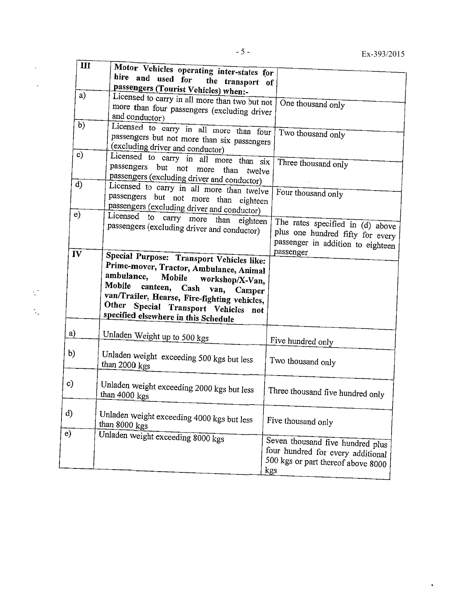$\ddot{\bullet}$ 

| $\mathbf{m}$ | Motor Vehicles operating inter-states for                                                                                                                                                                                                                                                                 |                                                                                                                                     |
|--------------|-----------------------------------------------------------------------------------------------------------------------------------------------------------------------------------------------------------------------------------------------------------------------------------------------------------|-------------------------------------------------------------------------------------------------------------------------------------|
|              | hire and used for<br>the transport of                                                                                                                                                                                                                                                                     |                                                                                                                                     |
| a)           | passengers (Tourist Vehicles) when:-<br>Licensed to carry in all more than two but not<br>more than four passengers (excluding driver<br>and conductor)                                                                                                                                                   | One thousand only                                                                                                                   |
| b)           | Licensed to carry in all more than four<br>passengers but not more than six passengers<br>(excluding driver and conductor)                                                                                                                                                                                | Two thousand only                                                                                                                   |
| $\mathbf{c}$ | Licensed to carry in all more than six<br>passengers but not more<br>than<br>twelve<br>passengers (excluding driver and conductor)                                                                                                                                                                        | Three thousand only                                                                                                                 |
| d)           | Licensed to carry in all more than twelve<br>passengers<br>but not more than eighteen<br>passengers (excluding driver and conductor)                                                                                                                                                                      | Four thousand only                                                                                                                  |
| e)<br>IV     | Licensed<br>to carry more than eighteen<br>passengers (excluding driver and conductor)                                                                                                                                                                                                                    | The rates specified in $\overline{d}$ ) above<br>plus one hundred fifty for every<br>passenger in addition to eighteen<br>passenger |
|              | Special Purpose: Transport Vehicles like:<br>Prime-mover, Tractor, Ambulance, Animal<br>ambulance,<br>Mobile<br>workshop/X-Van,<br>Mobile<br>canteen, Cash<br>van, Camper<br>van/Trailer, Hearse, Fire-fighting vehicles,<br>Other Special Transport Vehicles not<br>specified elsewhere in this Schedule |                                                                                                                                     |
| a)           | Unladen Weight up to 500 kgs                                                                                                                                                                                                                                                                              | Five hundred only                                                                                                                   |
| b)           | Unladen weight exceeding 500 kgs but less<br>than 2000 kgs                                                                                                                                                                                                                                                | Two thousand only                                                                                                                   |
| $\bf c)$     | Unladen weight exceeding 2000 kgs but less<br>than 4000 kgs                                                                                                                                                                                                                                               | Three thousand five hundred only                                                                                                    |
| d)           | Unladen weight exceeding 4000 kgs but less<br>than 8000 kgs                                                                                                                                                                                                                                               | Five thousand only                                                                                                                  |
| e)           | Unladen weight exceeding 8000 kgs                                                                                                                                                                                                                                                                         | Seven thousand five hundred plus<br>four hundred for every additional<br>500 kgs or part thereof above 8000<br>kgs                  |

 $-5-$ 

 $\mathbb{C}^*$  $\mathbb{Q}_2$   $\sqrt{m}$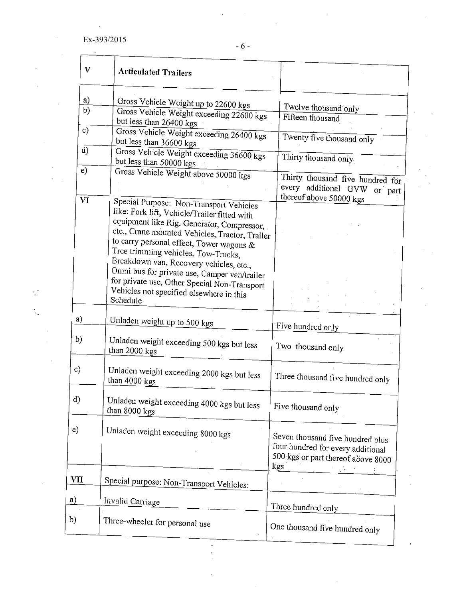÷,

| V             | <b>Articulated Trailers</b>                                                                                                                                                                                                                                                                                                                                                                                                                                                   |                                                                                                                    |
|---------------|-------------------------------------------------------------------------------------------------------------------------------------------------------------------------------------------------------------------------------------------------------------------------------------------------------------------------------------------------------------------------------------------------------------------------------------------------------------------------------|--------------------------------------------------------------------------------------------------------------------|
| a)<br>b)      | Gross Vehicle Weight up to 22600 kgs<br>Gross Vehicle Weight exceeding 22600 kgs                                                                                                                                                                                                                                                                                                                                                                                              | Twelve thousand only<br>Fifteen thousand                                                                           |
| $\circ$ )     | but less than 26400 kgs<br>Gross Vehicle Weight exceeding 26400 kgs<br>but less than 36600 kgs                                                                                                                                                                                                                                                                                                                                                                                | Twenty five thousand only                                                                                          |
| $\mathbf{d}$  | Gross Vehicle Weight exceeding 36600 kgs<br>but less than 50000 kgs                                                                                                                                                                                                                                                                                                                                                                                                           | Thirty thousand only                                                                                               |
| e)            | Gross Vehicle Weight above 50000 kgs                                                                                                                                                                                                                                                                                                                                                                                                                                          | Thirty thousand five hundred for<br>every additional GVW or part<br>thereof above 50000 kgs                        |
| VI            | Special Purpose: Non-Transport Vehicles<br>like: Fork lift, Vehicle/Trailer fitted with<br>equipment like Rig. Generator, Compressor,<br>etc., Crane mounted Vehicles, Tractor, Trailer<br>to carry personal effect, Tower wagons &<br>Tree trimming vehicles, Tow-Trucks,<br>Breakdown van, Recovery vehicles, etc.,<br>Omni bus for private use, Camper van/trailer<br>for private use, Other Special Non-Transport<br>Vehicles not specified elsewhere in this<br>Schedule |                                                                                                                    |
| a)            | Unladen weight up to 500 kgs                                                                                                                                                                                                                                                                                                                                                                                                                                                  | Five hundred only                                                                                                  |
| $\mathbf{b}$  | Unladen weight exceeding 500 kgs but less<br>than 2000 kgs                                                                                                                                                                                                                                                                                                                                                                                                                    | Two thousand only                                                                                                  |
| $\mathbf{c})$ | Unladen weight exceeding 2000 kgs but less<br>than 4000 kgs                                                                                                                                                                                                                                                                                                                                                                                                                   | Three thousand five hundred only                                                                                   |
| d)            | Unladen weight exceeding 4000 kgs but less<br>than 8000 kgs                                                                                                                                                                                                                                                                                                                                                                                                                   | Five thousand only                                                                                                 |
| e)            | Unladen weight exceeding 8000 kgs                                                                                                                                                                                                                                                                                                                                                                                                                                             | Seven thousand five hundred plus<br>four hundred for every additional<br>500 kgs or part thereof above 8000<br>kgs |
| VII           | Special purpose: Non-Transport Vehicles:                                                                                                                                                                                                                                                                                                                                                                                                                                      |                                                                                                                    |
| a)            | Invalid Carriage                                                                                                                                                                                                                                                                                                                                                                                                                                                              | Three hundred only                                                                                                 |
| $b$           | Three-wheeler for personal use                                                                                                                                                                                                                                                                                                                                                                                                                                                | One thousand five hundred only                                                                                     |

 $\frac{1}{2}$ 

 $\hat{\mathcal{L}}$ 

 $\sim 6$  -

 $\hat{\mathcal{A}}$ 

 $\hat{\boldsymbol{\theta}}$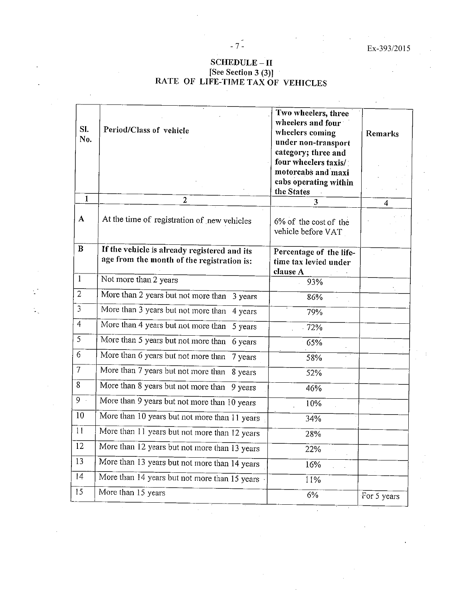$\sim$ 

 $\bar{\Delta}$ 

 $\hat{\mathcal{A}}$ 

# SCHEDULE – II<br>[See Section 3 (3)]<br>RATE OF LIFE-TIME TAX OF VEHICLES

 $-7$  $-$ 

| SI.<br>No.                | Period/Class of vehicle                                                                    | Two wheelers, three<br>wheelers and four<br>wheelers coming<br>under non-transport<br>category; three and<br>four wheelers taxis/<br>motorcabs and maxi<br>cabs operating within<br>the States | Remarks     |
|---------------------------|--------------------------------------------------------------------------------------------|------------------------------------------------------------------------------------------------------------------------------------------------------------------------------------------------|-------------|
| $\mathbf{I}$              | $\overline{2}$                                                                             | $\overline{\mathbf{3}}$                                                                                                                                                                        | 4           |
| A                         | At the time of registration of new vehicles                                                | 6% of the cost of the<br>vehicle before VAT                                                                                                                                                    |             |
| $\bf{B}$                  | If the vehicle is already registered and its<br>age from the month of the registration is: | Percentage of the life-<br>time tax levied under<br>clause A                                                                                                                                   |             |
| $\mathbf{1}$              | Not more than 2 years                                                                      | 93%                                                                                                                                                                                            |             |
| $\overline{2}$            | More than 2 years but not more than 3 years                                                | 86%                                                                                                                                                                                            |             |
| $\overline{3}$            | More than 3 years but not more than 4 years                                                | 79%                                                                                                                                                                                            |             |
| $\overline{4}$            | More than 4 years but not more than<br>5 years                                             | 72%                                                                                                                                                                                            |             |
| 5                         | More than 5 years but not more than<br>6 years                                             | 65%                                                                                                                                                                                            |             |
| 6                         | More than 6 years but not more than<br>7 years                                             | 58%                                                                                                                                                                                            |             |
| $\overline{\overline{I}}$ | More than 7 years but not more than 8 years                                                | 52%                                                                                                                                                                                            |             |
| 8                         | More than 8 years but not more than 9 years                                                | 46%                                                                                                                                                                                            |             |
| 9                         | More than 9 years but not more than 10 years                                               | 10%                                                                                                                                                                                            |             |
| 10                        | More than 10 years but not more than 11 years                                              | 34%                                                                                                                                                                                            |             |
| 11                        | More than 11 years but not more than 12 years                                              | 28%                                                                                                                                                                                            |             |
| 12                        | More than 12 years but not more than 13 years                                              | 22%                                                                                                                                                                                            |             |
| 13                        | More than 13 years but not more than 14 years                                              | 16%                                                                                                                                                                                            |             |
| 14                        | More than 14 years but not more than 15 years                                              | 11%                                                                                                                                                                                            |             |
| 15                        | More than 15 years                                                                         | 6%                                                                                                                                                                                             | For 5 years |

 $\mathbb{R}^3$ 

÷.